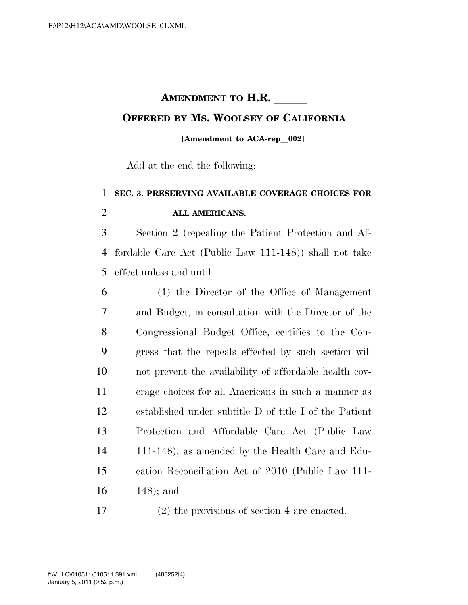# **AMENDMENT TO H.R. OFFERED BY MS. WOOLSEY OF CALIFORNIA**

#### **[Amendment to ACA-rep**l**002]**

Add at the end the following:

### **SEC. 3. PRESERVING AVAILABLE COVERAGE CHOICES FOR ALL AMERICANS.**

 Section 2 (repealing the Patient Protection and Af- fordable Care Act (Public Law 111-148)) shall not take effect unless and until—

 (1) the Director of the Office of Management and Budget, in consultation with the Director of the Congressional Budget Office, certifies to the Con- gress that the repeals effected by such section will not prevent the availability of affordable health cov- erage choices for all Americans in such a manner as established under subtitle D of title I of the Patient Protection and Affordable Care Act (Public Law 111-148), as amended by the Health Care and Edu- cation Reconciliation Act of 2010 (Public Law 111- 148); and

(2) the provisions of section 4 are enacted.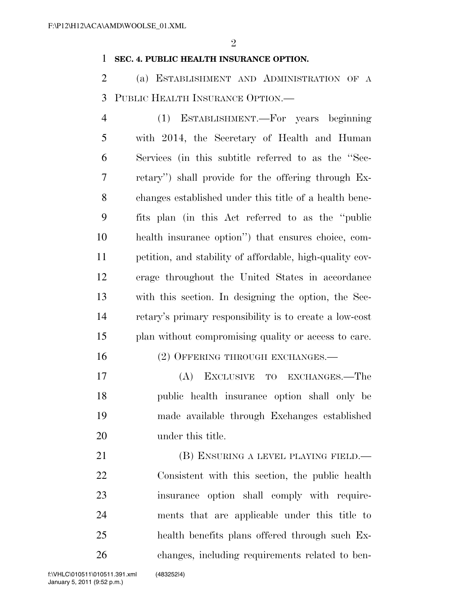#### **SEC. 4. PUBLIC HEALTH INSURANCE OPTION.**

 (a) ESTABLISHMENT AND ADMINISTRATION OF A PUBLIC HEALTH INSURANCE OPTION.—

 (1) ESTABLISHMENT.—For years beginning with 2014, the Secretary of Health and Human Services (in this subtitle referred to as the ''Sec- retary'') shall provide for the offering through Ex- changes established under this title of a health bene- fits plan (in this Act referred to as the ''public health insurance option'') that ensures choice, com- petition, and stability of affordable, high-quality cov- erage throughout the United States in accordance with this section. In designing the option, the Sec- retary's primary responsibility is to create a low-cost plan without compromising quality or access to care.

### 16 (2) OFFERING THROUGH EXCHANGES.—

 (A) EXCLUSIVE TO EXCHANGES.—The public health insurance option shall only be made available through Exchanges established under this title.

21 (B) ENSURING A LEVEL PLAYING FIELD.— Consistent with this section, the public health insurance option shall comply with require- ments that are applicable under this title to health benefits plans offered through such Ex-changes, including requirements related to ben-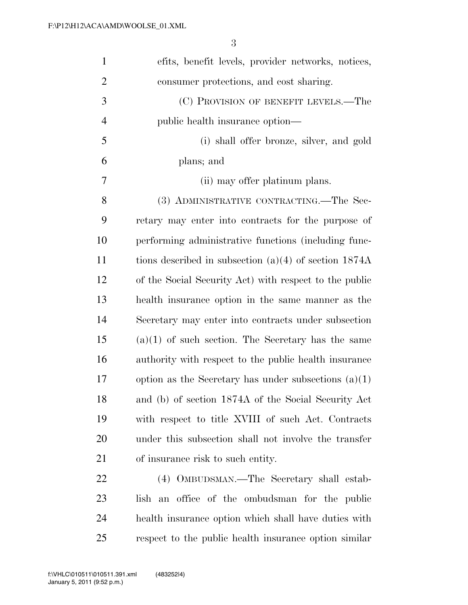| $\mathbf{1}$   | efits, benefit levels, provider networks, notices,      |
|----------------|---------------------------------------------------------|
| $\overline{2}$ | consumer protections, and cost sharing.                 |
| 3              | (C) PROVISION OF BENEFIT LEVELS.—The                    |
| $\overline{4}$ | public health insurance option—                         |
| 5              | (i) shall offer bronze, silver, and gold                |
| 6              | plans; and                                              |
| 7              | (ii) may offer platinum plans.                          |
| 8              | (3) ADMINISTRATIVE CONTRACTING.—The Sec-                |
| 9              | retary may enter into contracts for the purpose of      |
| 10             | performing administrative functions (including func-    |
| 11             | tions described in subsection $(a)(4)$ of section 1874A |
| 12             | of the Social Security Act) with respect to the public  |
| 13             | health insurance option in the same manner as the       |
| 14             | Secretary may enter into contracts under subsection     |
| 15             | $(a)(1)$ of such section. The Secretary has the same    |
| 16             | authority with respect to the public health insurance   |
| 17             | option as the Secretary has under subsections $(a)(1)$  |
| 18             | and (b) of section 1874A of the Social Security Act     |
| 19             | with respect to title XVIII of such Act. Contracts      |
| 20             | under this subsection shall not involve the transfer    |
| 21             | of insurance risk to such entity.                       |
| 22             | (4) OMBUDSMAN.—The Secretary shall estab-               |
| 23             | office of the ombudsman for the public<br>lish<br>an    |
| 24             | health insurance option which shall have duties with    |

respect to the public health insurance option similar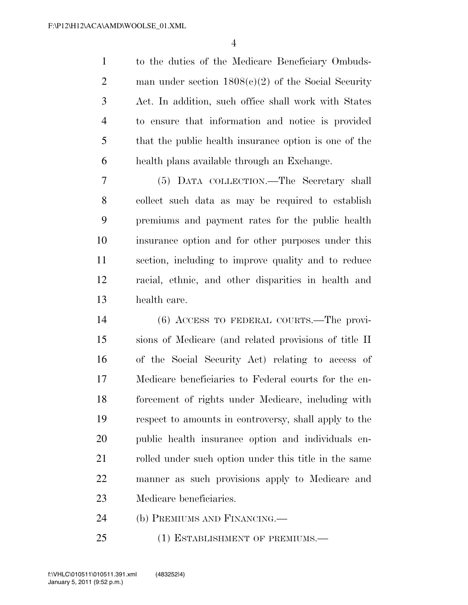to the duties of the Medicare Beneficiary Ombuds- man under section 1808(c)(2) of the Social Security Act. In addition, such office shall work with States to ensure that information and notice is provided that the public health insurance option is one of the health plans available through an Exchange.

 (5) DATA COLLECTION.—The Secretary shall collect such data as may be required to establish premiums and payment rates for the public health insurance option and for other purposes under this section, including to improve quality and to reduce racial, ethnic, and other disparities in health and health care.

 (6) ACCESS TO FEDERAL COURTS.—The provi- sions of Medicare (and related provisions of title II of the Social Security Act) relating to access of Medicare beneficiaries to Federal courts for the en- forcement of rights under Medicare, including with respect to amounts in controversy, shall apply to the public health insurance option and individuals en-21 rolled under such option under this title in the same manner as such provisions apply to Medicare and Medicare beneficiaries.

(b) PREMIUMS AND FINANCING.—

25 (1) ESTABLISHMENT OF PREMIUMS.—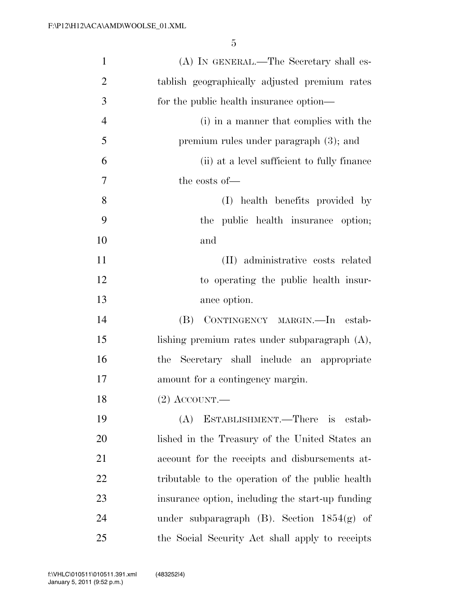| $\mathbf{1}$   | (A) IN GENERAL.—The Secretary shall es-          |
|----------------|--------------------------------------------------|
| $\overline{2}$ | tablish geographically adjusted premium rates    |
| 3              | for the public health insurance option—          |
| $\overline{4}$ | (i) in a manner that complies with the           |
| 5              | premium rules under paragraph $(3)$ ; and        |
| 6              | (ii) at a level sufficient to fully finance      |
| 7              | the costs of-                                    |
| 8              | (I) health benefits provided by                  |
| 9              | the public health insurance option;              |
| 10             | and                                              |
| 11             | (II) administrative costs related                |
| 12             | to operating the public health insur-            |
| 13             | ance option.                                     |
| 14             | CONTINGENCY MARGIN. - In estab-<br>(B)           |
| 15             | lishing premium rates under subparagraph $(A)$ , |
| 16             | Secretary shall include an appropriate<br>the    |
| 17             | amount for a contingency margin.                 |
| 18             | $(2)$ ACCOUNT.—                                  |
| 19             | (A)<br>ESTABLISHMENT.—There is<br>estab-         |
| 20             | lished in the Treasury of the United States an   |
| 21             | account for the receipts and disbursements at-   |
| 22             | tributable to the operation of the public health |
| 23             | insurance option, including the start-up funding |
| 24             | under subparagraph $(B)$ . Section $1854(g)$ of  |
| 25             | the Social Security Act shall apply to receipts  |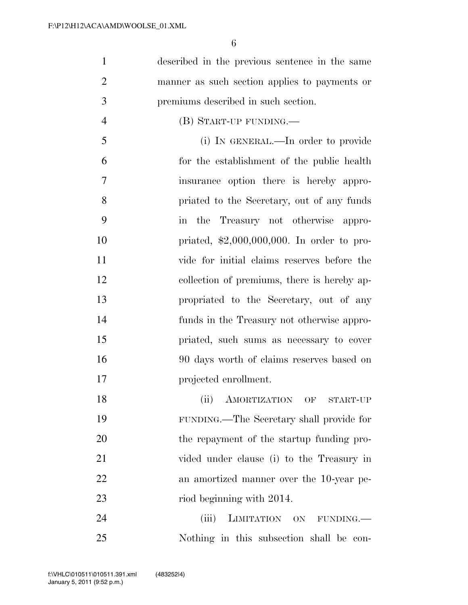| 1              | described in the previous sentence in the same |
|----------------|------------------------------------------------|
| $\overline{2}$ | manner as such section applies to payments or  |
| 3              | premiums described in such section.            |
| $\overline{4}$ | (B) START-UP FUNDING.—                         |
| 5              | (i) IN GENERAL.—In order to provide            |
| 6              | for the establishment of the public health     |
| $\tau$         | insurance option there is hereby appro-        |
| 8              | priated to the Secretary, out of any funds     |
| 9              | in the Treasury not otherwise appro-           |
| 10             | priated, $$2,000,000,000$ . In order to pro-   |
| 11             | vide for initial claims reserves before the    |
| 12             | collection of premiums, there is hereby ap-    |
| 13             | propriated to the Secretary, out of any        |
| 14             | funds in the Treasury not otherwise appro-     |
| 15             | priated, such sums as necessary to cover       |
| 16             | 90 days worth of claims reserves based on      |
| 17             | projected enrollment.                          |
| 18             | (ii) AMORTIZATION OF START-UP                  |
| 19             | FUNDING.—The Secretary shall provide for       |
| 20             | the repayment of the startup funding pro-      |
| 21             | vided under clause (i) to the Treasury in      |
| 22             | an amortized manner over the 10-year pe-       |
| 23             | riod beginning with 2014.                      |
| 24             | (iii)<br>LIMITATION ON FUNDING.                |
| 25             | Nothing in this subsection shall be con-       |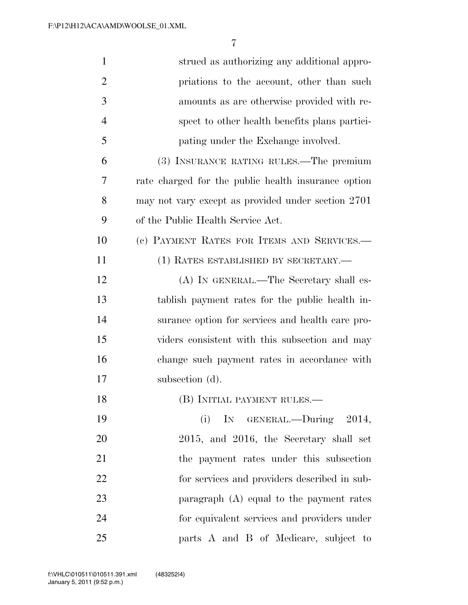| 1              | strued as authorizing any additional appro-         |
|----------------|-----------------------------------------------------|
| $\overline{2}$ | priations to the account, other than such           |
| 3              | amounts as are otherwise provided with re-          |
| $\overline{4}$ | spect to other health benefits plans partici-       |
| 5              | pating under the Exchange involved.                 |
| 6              | (3) INSURANCE RATING RULES.—The premium             |
| 7              | rate charged for the public health insurance option |
| 8              | may not vary except as provided under section 2701  |
| 9              | of the Public Health Service Act.                   |
| 10             | (c) PAYMENT RATES FOR ITEMS AND SERVICES.-          |
| 11             | (1) RATES ESTABLISHED BY SECRETARY.—                |
| 12             | (A) IN GENERAL.—The Secretary shall es-             |
| 13             | tablish payment rates for the public health in-     |
| 14             | surance option for services and health care pro-    |
| 15             | viders consistent with this subsection and may      |
| 16             | change such payment rates in accordance with        |
| 17             | subsection (d).                                     |
| 18             | (B) INITIAL PAYMENT RULES.-                         |
| 19             | IN GENERAL.—During 2014,<br>(i)                     |
| 20             | 2015, and 2016, the Secretary shall set             |
| 21             | the payment rates under this subsection             |
| 22             | for services and providers described in sub-        |
| 23             | paragraph $(A)$ equal to the payment rates          |
| 24             | for equivalent services and providers under         |
| 25             | parts A and B of Medicare, subject to               |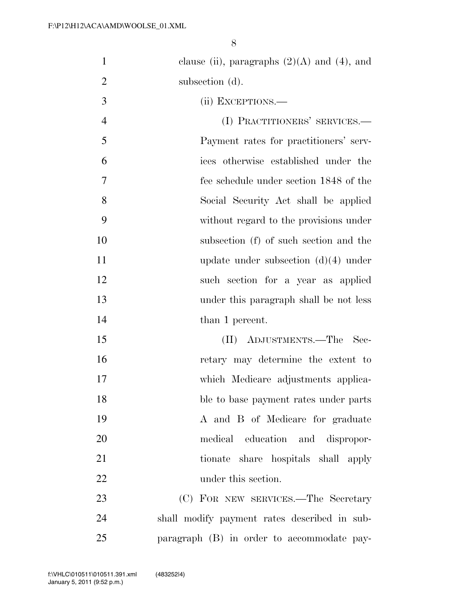| $\mathbf{1}$   | clause (ii), paragraphs $(2)(A)$ and $(4)$ , and |
|----------------|--------------------------------------------------|
| $\overline{2}$ | subsection (d).                                  |
| 3              | (ii) EXCEPTIONS.—                                |
| $\overline{4}$ | (I) PRACTITIONERS' SERVICES.-                    |
| 5              | Payment rates for practitioners' serv-           |
| 6              | ices otherwise established under the             |
| 7              | fee schedule under section 1848 of the           |
| 8              | Social Security Act shall be applied             |
| 9              | without regard to the provisions under           |
| 10             | subsection (f) of such section and the           |
| 11             | update under subsection $(d)(4)$ under           |
| 12             | such section for a year as applied               |
| 13             | under this paragraph shall be not less           |
| 14             | than 1 percent.                                  |
| 15             | (II) ADJUSTMENTS.—The Sec-                       |
| 16             | retary may determine the extent to               |
| 17             | which Medicare adjustments applica-              |
| 18             | ble to base payment rates under parts            |
| 19             | A and B of Medicare for graduate                 |
| 20             | medical education and dispropor-                 |
| 21             | tionate share hospitals shall apply              |
| 22             | under this section.                              |
| 23             | (C) FOR NEW SERVICES.—The Secretary              |
| 24             | shall modify payment rates described in sub-     |
| 25             | paragraph (B) in order to accommodate pay-       |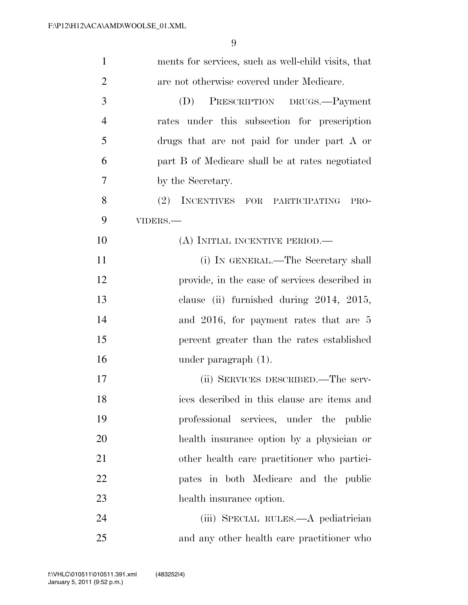| $\mathbf{1}$   | ments for services, such as well-child visits, that |
|----------------|-----------------------------------------------------|
| $\overline{2}$ | are not otherwise covered under Medicare.           |
| 3              | (D)<br>PRESCRIPTION DRUGS.-Payment                  |
| $\overline{4}$ | rates under this subsection for prescription        |
| 5              | drugs that are not paid for under part A or         |
| 6              | part B of Medicare shall be at rates negotiated     |
| $\overline{7}$ | by the Secretary.                                   |
| 8              | (2) INCENTIVES FOR PARTICIPATING<br>PRO-            |
| 9              | VIDERS.-                                            |
| 10             | (A) INITIAL INCENTIVE PERIOD.—                      |
| 11             | (i) IN GENERAL.—The Secretary shall                 |
| 12             | provide, in the case of services described in       |
| 13             | clause (ii) furnished during $2014$ , $2015$ ,      |
| 14             | and 2016, for payment rates that are 5              |
| 15             | percent greater than the rates established          |
| 16             | under paragraph $(1)$ .                             |
| 17             | (ii) SERVICES DESCRIBED.—The serv-                  |
| 18             | ices described in this clause are items and         |
| 19             | professional services, under the public             |
| 20             | health insurance option by a physician or           |
| 21             | other health care practitioner who partici-         |
| 22             | pates in both Medicare and the public               |
| 23             | health insurance option.                            |
| 24             | (iii) SPECIAL RULES.—A pediatrician                 |
| 25             | and any other health care practitioner who          |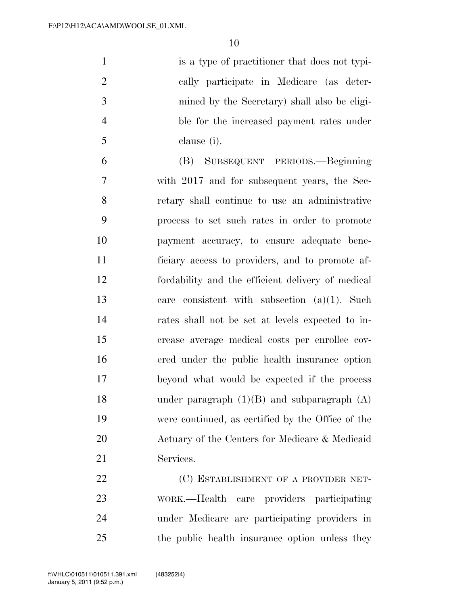is a type of practitioner that does not typi- cally participate in Medicare (as deter- mined by the Secretary) shall also be eligi- ble for the increased payment rates under clause (i).

 (B) SUBSEQUENT PERIODS.—Beginning with 2017 and for subsequent years, the Sec- retary shall continue to use an administrative process to set such rates in order to promote payment accuracy, to ensure adequate bene- ficiary access to providers, and to promote af- fordability and the efficient delivery of medical care consistent with subsection (a)(1). Such rates shall not be set at levels expected to in- crease average medical costs per enrollee cov- ered under the public health insurance option beyond what would be expected if the process 18 under paragraph  $(1)(B)$  and subparagraph  $(A)$  were continued, as certified by the Office of the Actuary of the Centers for Medicare & Medicaid Services.

22 (C) ESTABLISHMENT OF A PROVIDER NET- WORK.—Health care providers participating under Medicare are participating providers in the public health insurance option unless they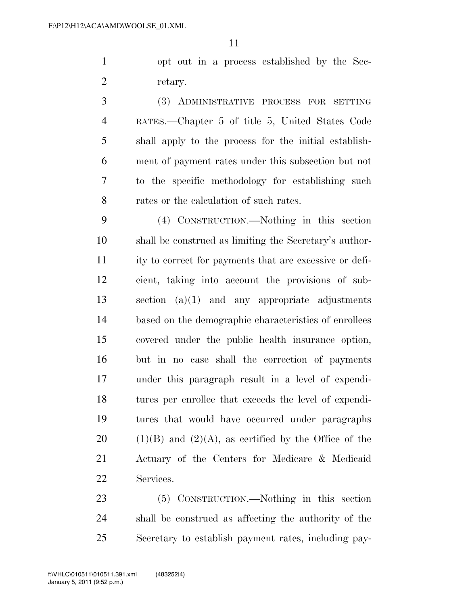opt out in a process established by the Sec-retary.

 (3) ADMINISTRATIVE PROCESS FOR SETTING RATES.—Chapter 5 of title 5, United States Code shall apply to the process for the initial establish- ment of payment rates under this subsection but not to the specific methodology for establishing such rates or the calculation of such rates.

 (4) CONSTRUCTION.—Nothing in this section shall be construed as limiting the Secretary's author- ity to correct for payments that are excessive or defi- cient, taking into account the provisions of sub- section (a)(1) and any appropriate adjustments based on the demographic characteristics of enrollees covered under the public health insurance option, but in no case shall the correction of payments under this paragraph result in a level of expendi- tures per enrollee that exceeds the level of expendi- tures that would have occurred under paragraphs  $(1)(B)$  and  $(2)(A)$ , as certified by the Office of the Actuary of the Centers for Medicare & Medicaid Services.

 (5) CONSTRUCTION.—Nothing in this section shall be construed as affecting the authority of the Secretary to establish payment rates, including pay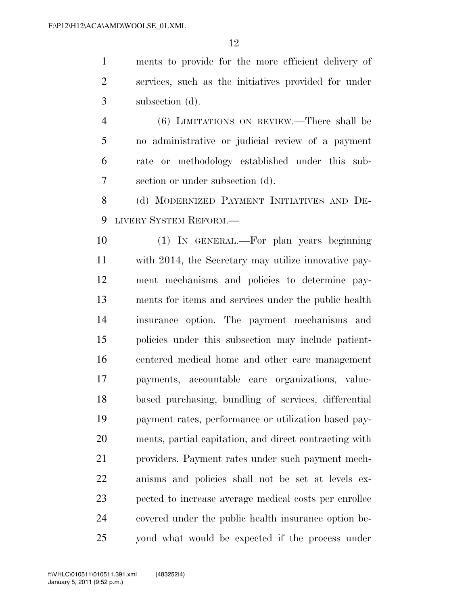ments to provide for the more efficient delivery of services, such as the initiatives provided for under subsection (d).

 (6) LIMITATIONS ON REVIEW.—There shall be no administrative or judicial review of a payment rate or methodology established under this sub-section or under subsection (d).

 (d) MODERNIZED PAYMENT INITIATIVES AND DE-LIVERY SYSTEM REFORM.—

 (1) IN GENERAL.—For plan years beginning with 2014, the Secretary may utilize innovative pay- ment mechanisms and policies to determine pay- ments for items and services under the public health insurance option. The payment mechanisms and policies under this subsection may include patient- centered medical home and other care management payments, accountable care organizations, value- based purchasing, bundling of services, differential payment rates, performance or utilization based pay- ments, partial capitation, and direct contracting with providers. Payment rates under such payment mech- anisms and policies shall not be set at levels ex- pected to increase average medical costs per enrollee covered under the public health insurance option be-25 vond what would be expected if the process under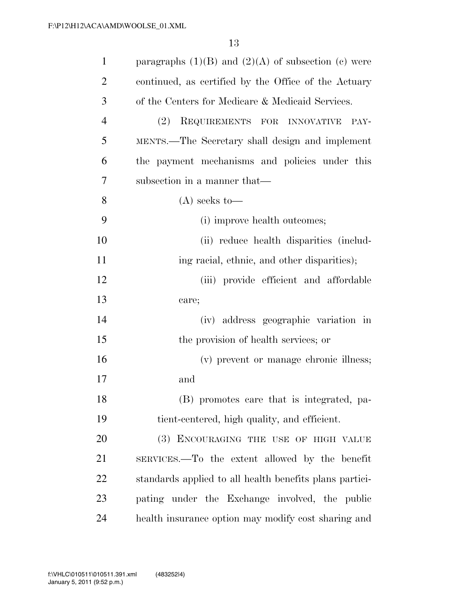| $\mathbf{1}$   | paragraphs $(1)(B)$ and $(2)(A)$ of subsection (c) were |
|----------------|---------------------------------------------------------|
| $\overline{2}$ | continued, as certified by the Office of the Actuary    |
| 3              | of the Centers for Medicare & Medicaid Services.        |
| $\overline{4}$ | (2)<br>REQUIREMENTS FOR INNOVATIVE<br>PAY-              |
| 5              | MENTS.—The Secretary shall design and implement         |
| 6              | the payment mechanisms and policies under this          |
| 7              | subsection in a manner that—                            |
| 8              | $(A)$ seeks to-                                         |
| 9              | (i) improve health outcomes;                            |
| 10             | (ii) reduce health disparities (includ-                 |
| 11             | ing racial, ethnic, and other disparities);             |
| 12             | (iii) provide efficient and affordable                  |
| 13             | care;                                                   |
| 14             | (iv) address geographic variation in                    |
| 15             | the provision of health services; or                    |
| 16             | (v) prevent or manage chronic illness;                  |
| 17             | and                                                     |
| 18             | (B) promotes care that is integrated, pa-               |
| 19             | tient-centered, high quality, and efficient.            |
| 20             | (3) ENCOURAGING THE USE OF HIGH VALUE                   |
| 21             | SERVICES.—To the extent allowed by the benefit          |
| 22             | standards applied to all health benefits plans partici- |
| 23             | pating under the Exchange involved, the public          |
| 24             | health insurance option may modify cost sharing and     |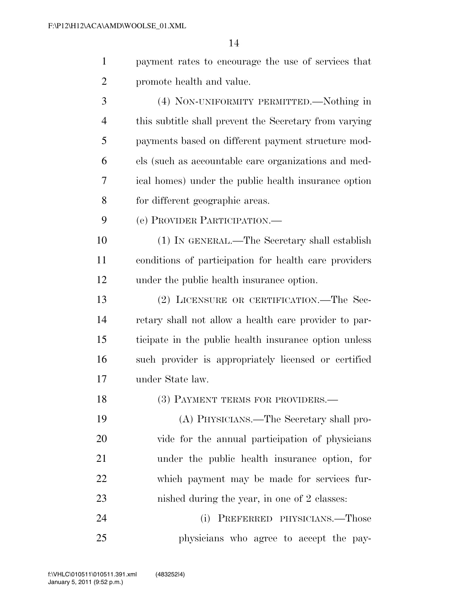|   | payment rates to encourage the use of services that |
|---|-----------------------------------------------------|
| 2 | promote health and value.                           |
| 3 | (4) NON-UNIFORMITY PERMITTED.—Nothing in            |

 this subtitle shall prevent the Secretary from varying payments based on different payment structure mod- els (such as accountable care organizations and med- ical homes) under the public health insurance option for different geographic areas.

(e) PROVIDER PARTICIPATION.—

 (1) IN GENERAL.—The Secretary shall establish conditions of participation for health care providers under the public health insurance option.

 (2) LICENSURE OR CERTIFICATION.—The Sec- retary shall not allow a health care provider to par- ticipate in the public health insurance option unless such provider is appropriately licensed or certified under State law.

18 (3) PAYMENT TERMS FOR PROVIDERS.

 (A) PHYSICIANS.—The Secretary shall pro- vide for the annual participation of physicians under the public health insurance option, for which payment may be made for services fur-nished during the year, in one of 2 classes:

 (i) PREFERRED PHYSICIANS.—Those physicians who agree to accept the pay-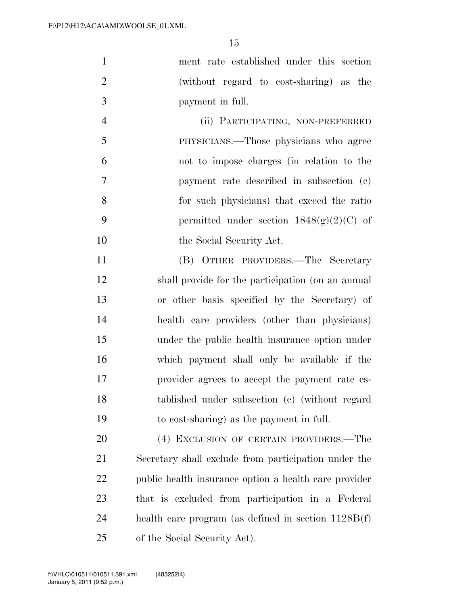| $\mathbf{1}$   | ment rate established under this section                                                                                            |
|----------------|-------------------------------------------------------------------------------------------------------------------------------------|
| $\overline{2}$ | (without regard to cost-sharing) as the                                                                                             |
| 3              | payment in full.                                                                                                                    |
| $\overline{4}$ | (ii) PARTICIPATING, NON-PREFERRED                                                                                                   |
| 5              | PHYSICIANS.—Those physicians who agree                                                                                              |
| 6              | not to impose charges (in relation to the                                                                                           |
| $\tau$         | payment rate described in subsection (c)                                                                                            |
| 8              | for such physicians) that exceed the ratio                                                                                          |
| 9              | permitted under section $1848(g)(2)(C)$ of                                                                                          |
| 10             | the Social Security Act.                                                                                                            |
| 11             | (B) OTHER PROVIDERS.—The Secretary                                                                                                  |
| 12             | shall provide for the participation (on an annual                                                                                   |
| 13             | or other basis specified by the Secretary) of                                                                                       |
| 14             | health care providers (other than physicians)                                                                                       |
| 15             | under the public health insurance option under                                                                                      |
| $\sim$         | $\mathbf{r} \cdot \mathbf{r}$ and $\mathbf{r} \cdot \mathbf{r}$ and $\mathbf{r} \cdot \mathbf{r}$ and $\mathbf{r} \cdot \mathbf{r}$ |

 which payment shall only be available if the provider agrees to accept the payment rate es- tablished under subsection (c) (without regard to cost-sharing) as the payment in full.

 (4) EXCLUSION OF CERTAIN PROVIDERS.—The Secretary shall exclude from participation under the public health insurance option a health care provider that is excluded from participation in a Federal health care program (as defined in section 1128B(f) of the Social Security Act).